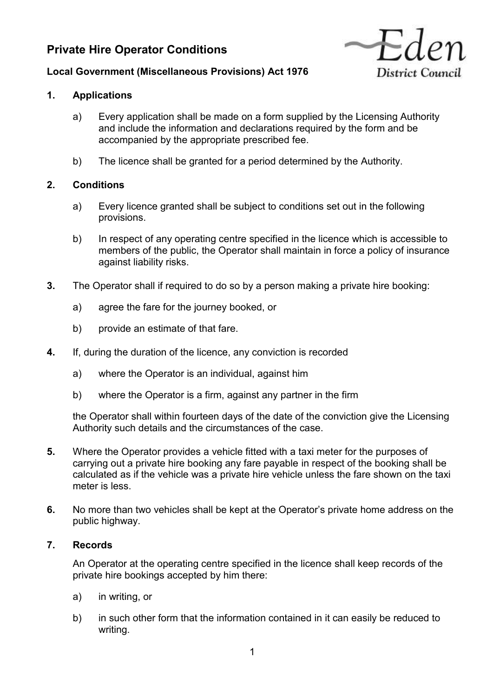# **Private Hire Operator Conditions**



# **Local Government (Miscellaneous Provisions) Act 1976**

## **1. Applications**

- a) Every application shall be made on a form supplied by the Licensing Authority and include the information and declarations required by the form and be accompanied by the appropriate prescribed fee.
- b) The licence shall be granted for a period determined by the Authority.

# **2. Conditions**

- a) Every licence granted shall be subject to conditions set out in the following provisions.
- b) In respect of any operating centre specified in the licence which is accessible to members of the public, the Operator shall maintain in force a policy of insurance against liability risks.
- **3.** The Operator shall if required to do so by a person making a private hire booking:
	- a) agree the fare for the journey booked, or
	- b) provide an estimate of that fare.
- **4.** If, during the duration of the licence, any conviction is recorded
	- a) where the Operator is an individual, against him
	- b) where the Operator is a firm, against any partner in the firm

the Operator shall within fourteen days of the date of the conviction give the Licensing Authority such details and the circumstances of the case.

- **5.** Where the Operator provides a vehicle fitted with a taxi meter for the purposes of carrying out a private hire booking any fare payable in respect of the booking shall be calculated as if the vehicle was a private hire vehicle unless the fare shown on the taxi meter is less.
- **6.** No more than two vehicles shall be kept at the Operator's private home address on the public highway.

#### **7. Records**

An Operator at the operating centre specified in the licence shall keep records of the private hire bookings accepted by him there:

- a) in writing, or
- b) in such other form that the information contained in it can easily be reduced to writing.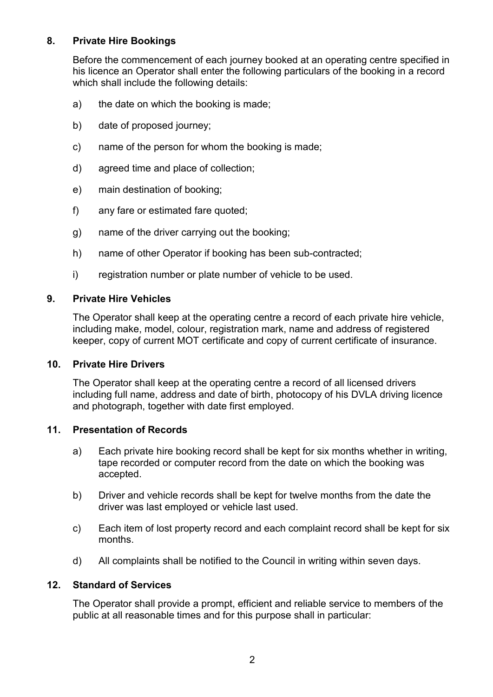## **8. Private Hire Bookings**

Before the commencement of each journey booked at an operating centre specified in his licence an Operator shall enter the following particulars of the booking in a record which shall include the following details:

- a) the date on which the booking is made;
- b) date of proposed journey;
- c) name of the person for whom the booking is made;
- d) agreed time and place of collection;
- e) main destination of booking;
- f) any fare or estimated fare quoted;
- g) name of the driver carrying out the booking;
- h) name of other Operator if booking has been sub-contracted;
- i) registration number or plate number of vehicle to be used.

#### **9. Private Hire Vehicles**

The Operator shall keep at the operating centre a record of each private hire vehicle, including make, model, colour, registration mark, name and address of registered keeper, copy of current MOT certificate and copy of current certificate of insurance.

#### **10. Private Hire Drivers**

The Operator shall keep at the operating centre a record of all licensed drivers including full name, address and date of birth, photocopy of his DVLA driving licence and photograph, together with date first employed.

#### **11. Presentation of Records**

- a) Each private hire booking record shall be kept for six months whether in writing, tape recorded or computer record from the date on which the booking was accepted.
- b) Driver and vehicle records shall be kept for twelve months from the date the driver was last employed or vehicle last used.
- c) Each item of lost property record and each complaint record shall be kept for six months.
- d) All complaints shall be notified to the Council in writing within seven days.

#### **12. Standard of Services**

The Operator shall provide a prompt, efficient and reliable service to members of the public at all reasonable times and for this purpose shall in particular: